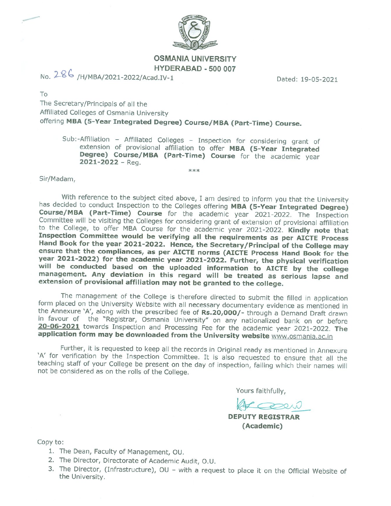

## **OSMANIA UNIVERSITY** HYDERABAD - 500 007

No. 286 /H/MBA/2021-2022/Acad.IV-1

Dated: 19-05-2021

To

The Secretary/Principals of all the Affiliated Colleges of Osmania University offering MBA (5-Year Integrated Degree) Course/MBA (Part-Time) Course.

Sub:-Affiliation - Affiliated Colleges - Inspection for considering grant of extension of provisional affiliation to offer MBA (5-Year Integrated Degree) Course/MBA (Part-Time) Course for the academic year  $2021 - 2022 - Req.$ 

 $44$ 

Sir/Madam,

With reference to the subject cited above, I am desired to inform you that the University has decided to conduct Inspection to the Colleges offering MBA (5-Year Integrated Degree) Course/MBA (Part-Time) Course for the academic year 2021-2022. The Inspection Committee will be visiting the Colleges for considering grant of extension of provisional affiliation to the College, to offer MBA Course for the academic year 2021-2022. Kindly note that Inspection Committee would be verifying all the requirements as per AICTE Process Hand Book for the year 2021-2022. Hence, the Secretary/Principal of the College may ensure that the compliances, as per AICTE norms (AICTE Process Hand Book for the year 2021-2022) for the academic year 2021-2022. Further, the physical verification will be conducted based on the uploaded information to AICTE by the college management. Any deviation in this regard will be treated as serious lapse and extension of provisional affiliation may not be granted to the college.

The management of the College is therefore directed to submit the filled in application form placed on the University Website with all necessary documentary evidence as mentioned in the Annexure 'A', along with the prescribed fee of Rs.20,000/- through a Demand Draft drawn in favour of the "Registrar, Osmania University" on any nationalized bank on or before 20-06-2021 towards Inspection and Processing Fee for the academic year 2021-2022. The application form may be downloaded from the University website www.osmania.ac.in

Further, it is requested to keep all the records in Original ready as mentioned in Annexure 'A' for verification by the Inspection Committee. It is also requested to ensure that all the teaching staff of your College be present on the day of inspection, failing which their names will not be considered as on the rolls of the College.

Yours faithfully,

**DEPUTY REGISTRAR** (Academic)

Copy to:

- 1. The Dean, Faculty of Management, OU.
- 2. The Director, Directorate of Academic Audit, O.U.
- 3. The Director, (Infrastructure), OU with a request to place it on the Official Website of the University.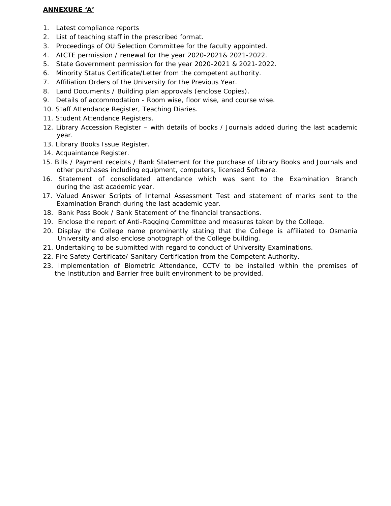#### **ANNEXURE 'A'**

- 1. Latest compliance reports
- 2. List of teaching staff in the prescribed format.
- 3. Proceedings of OU Selection Committee for the faculty appointed.
- 4. AICTE permission / renewal for the year 2020-2021& 2021-2022.
- 5. State Government permission for the year 2020-2021 & 2021-2022.
- 6. Minority Status Certificate/Letter from the competent authority.
- 7. Affiliation Orders of the University for the Previous Year.
- 8. Land Documents / Building plan approvals (enclose Copies).
- 9. Details of accommodation Room wise, floor wise, and course wise.
- 10. Staff Attendance Register, Teaching Diaries.
- 11. Student Attendance Registers.
- 12. Library Accession Register with details of books / Journals added during the last academic year.
- 13. Library Books Issue Register.
- 14. Acquaintance Register.
- 15. Bills / Payment receipts / Bank Statement for the purchase of Library Books and Journals and other purchases including equipment, computers, licensed Software.
- 16. Statement of consolidated attendance which was sent to the Examination Branch during the last academic year.
- 17. Valued Answer Scripts of Internal Assessment Test and statement of marks sent to the Examination Branch during the last academic year.
- 18. Bank Pass Book / Bank Statement of the financial transactions.
- 19. Enclose the report of Anti-Ragging Committee and measures taken by the College.
- 20. Display the College name prominently stating that the College is affiliated to Osmania University and also enclose photograph of the College building.
- 21. Undertaking to be submitted with regard to conduct of University Examinations.
- 22. Fire Safety Certificate/ Sanitary Certification from the Competent Authority.
- 23. Implementation of Biometric Attendance, CCTV to be installed within the premises of the Institution and Barrier free built environment to be provided.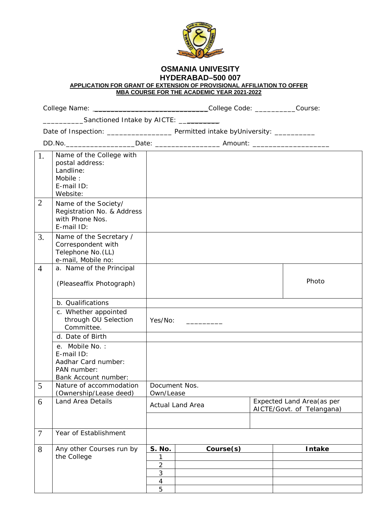

#### **OSMANIA UNIVESITY HYDERABAD–500 007 APPLICATION FOR GRANT OF EXTENSION OF PROVISIONAL AFFILIATION TO OFFER MBA COURSE FOR THE ACADEMIC YEAR 2021-2022**

| Name of the College with<br>postal address:<br>Landline:<br>Mobile:<br>E-mail ID:<br>Website: |                                                      |           |                                                                                     |                                                                                                                                                                             |
|-----------------------------------------------------------------------------------------------|------------------------------------------------------|-----------|-------------------------------------------------------------------------------------|-----------------------------------------------------------------------------------------------------------------------------------------------------------------------------|
| Name of the Society/<br>Registration No. & Address<br>with Phone Nos.<br>E-mail ID:           |                                                      |           |                                                                                     |                                                                                                                                                                             |
| Name of the Secretary /<br>Correspondent with<br>Telephone No. (LL)<br>e-mail, Mobile no:     |                                                      |           |                                                                                     |                                                                                                                                                                             |
| a. Name of the Principal<br>(Pleaseaffix Photograph)                                          |                                                      |           |                                                                                     | Photo                                                                                                                                                                       |
| b. Qualifications                                                                             |                                                      |           |                                                                                     |                                                                                                                                                                             |
| c. Whether appointed<br>through OU Selection<br>Committee.                                    |                                                      |           |                                                                                     |                                                                                                                                                                             |
| d. Date of Birth                                                                              |                                                      |           |                                                                                     |                                                                                                                                                                             |
| e. Mobile No.:<br>E-mail ID:<br>Aadhar Card number:<br>PAN number:<br>Bank Account number:    |                                                      |           |                                                                                     |                                                                                                                                                                             |
| Nature of accommodation                                                                       |                                                      |           |                                                                                     |                                                                                                                                                                             |
| Land Area Details                                                                             | <b>Actual Land Area</b>                              |           | Expected Land Area (as per<br>AICTE/Govt. of Telangana)                             |                                                                                                                                                                             |
|                                                                                               |                                                      |           |                                                                                     |                                                                                                                                                                             |
|                                                                                               |                                                      |           |                                                                                     |                                                                                                                                                                             |
| Any other Courses run by<br>the College                                                       | S. No.<br>1<br>$\overline{2}$<br>3<br>$\overline{4}$ | Course(s) |                                                                                     | Intake                                                                                                                                                                      |
|                                                                                               | (Ownership/Lease deed)<br>Year of Establishment      | 5         | Sanctioned Intake by AICTE: \[\stangummad_<br>Yes/No:<br>Document Nos.<br>Own/Lease | College Name: __________________________________College Code: ___________Course:<br>Date of Inspection: _________________________ Permitted intake byUniversity: __________ |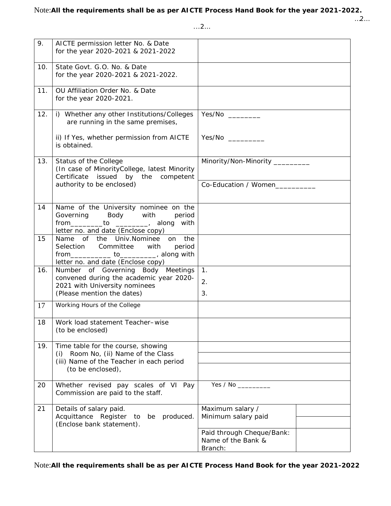...2…

…2…

| 9.  | AICTE permission letter No. & Date<br>for the year 2020-2021 & 2021-2022                                                                                        |                                                            |
|-----|-----------------------------------------------------------------------------------------------------------------------------------------------------------------|------------------------------------------------------------|
| 10. | State Govt. G.O. No. & Date<br>for the year 2020-2021 & 2021-2022.                                                                                              |                                                            |
| 11. | OU Affiliation Order No. & Date<br>for the year 2020-2021.                                                                                                      |                                                            |
| 12. | i) Whether any other Institutions/Colleges<br>are running in the same premises,                                                                                 | Yes/No                                                     |
|     | ii) If Yes, whether permission from AICTE<br>is obtained.                                                                                                       |                                                            |
| 13. | Status of the College<br>(In case of MinorityCollege, latest Minority<br>Certificate issued by the competent                                                    | Minority/Non-Minority _________                            |
|     | authority to be enclosed)                                                                                                                                       | Co-Education / Women                                       |
| 14  | Name of the University nominee on the<br>Governing<br>Body with<br>period<br>from __________to __________, along with<br>letter no. and date (Enclose copy)     |                                                            |
| 15  | on the<br>Name of the Univ.Nominee<br>Selection Committee with<br>period<br>from______________ to____________, along with<br>letter no. and date (Enclose copy) |                                                            |
| 16. | Number of Governing Body Meetings<br>convened during the academic year 2020-<br>2021 with University nominees<br>(Please mention the dates)                     | 1.<br>2.<br>3.                                             |
| 17  | Working Hours of the College                                                                                                                                    |                                                            |
| 18  | Work load statement Teacher-wise<br>(to be enclosed)                                                                                                            |                                                            |
| 19. | Time table for the course, showing<br>Room No, (ii) Name of the Class<br>(i)                                                                                    |                                                            |
|     | (iii) Name of the Teacher in each period<br>(to be enclosed),                                                                                                   |                                                            |
| 20  | Whether revised pay scales of VI Pay<br>Commission are paid to the staff.                                                                                       | Yes / No __________                                        |
| 21  | Details of salary paid.<br>Acquittance Register to be<br>produced.<br>(Enclose bank statement).                                                                 | Maximum salary /<br>Minimum salary paid                    |
|     |                                                                                                                                                                 | Paid through Cheque/Bank:<br>Name of the Bank &<br>Branch: |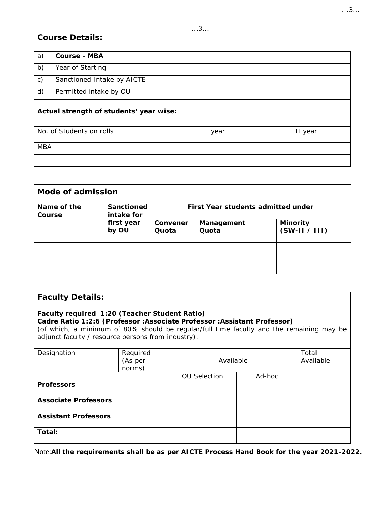## **Course Details:**

| a)                                      | Course - MBA               |  |        |         |
|-----------------------------------------|----------------------------|--|--------|---------|
| b)                                      | Year of Starting           |  |        |         |
| $\mathsf{C}$ )                          | Sanctioned Intake by AICTE |  |        |         |
| d)                                      | Permitted intake by OU     |  |        |         |
| Actual strength of students' year wise: |                            |  |        |         |
|                                         | No. of Students on rolls   |  | I year | II year |
| <b>MBA</b>                              |                            |  |        |         |
|                                         |                            |  |        |         |

| Mode of admission     |                          |                                    |                     |                                |  |
|-----------------------|--------------------------|------------------------------------|---------------------|--------------------------------|--|
| Name of the<br>Course | Sanctioned<br>intake for | First Year students admitted under |                     |                                |  |
|                       | first year<br>by OU      | Convener<br>Quota                  | Management<br>Quota | Minority<br>$(SW-II \mid III)$ |  |
|                       |                          |                                    |                     |                                |  |
|                       |                          |                                    |                     |                                |  |

| <b>Faculty Details:</b>                                                                                                                                                                                                                                                      |                               |                                 |        |  |
|------------------------------------------------------------------------------------------------------------------------------------------------------------------------------------------------------------------------------------------------------------------------------|-------------------------------|---------------------------------|--------|--|
| Faculty required 1:20 (Teacher Student Ratio)<br>Cadre Ratio 1:2:6 (Professor : Associate Professor : Assistant Professor)<br>(of which, a minimum of 80% should be regular/full time faculty and the remaining may be<br>adjunct faculty / resource persons from industry). |                               |                                 |        |  |
| Designation                                                                                                                                                                                                                                                                  | Required<br>(As per<br>norms) | Total<br>Available<br>Available |        |  |
|                                                                                                                                                                                                                                                                              |                               | <b>OU Selection</b>             | Ad-hoc |  |
| Professors                                                                                                                                                                                                                                                                   |                               |                                 |        |  |
| Associate Professors                                                                                                                                                                                                                                                         |                               |                                 |        |  |
| Assistant Professors                                                                                                                                                                                                                                                         |                               |                                 |        |  |
| Total:                                                                                                                                                                                                                                                                       |                               |                                 |        |  |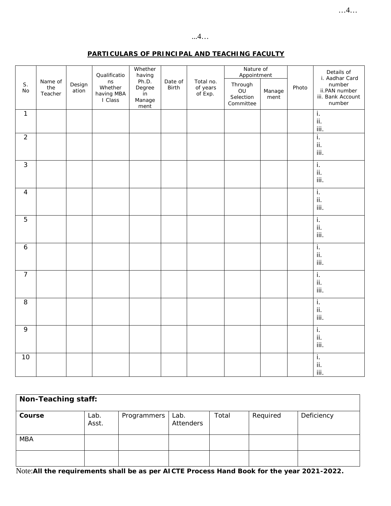$\dots$ 4...

 $...4...$ 

## PARTICULARS OF PRINCIPAL AND TEACHING FACULTY

|                  |                           |                 | Qualificatio                           | Whether<br>having                       |                  |                                  | Nature of<br>Appointment                |                |       | Details of<br>i. Aadhar Card                           |
|------------------|---------------------------|-----------------|----------------------------------------|-----------------------------------------|------------------|----------------------------------|-----------------------------------------|----------------|-------|--------------------------------------------------------|
| $S$ .<br>No      | Name of<br>the<br>Teacher | Design<br>ation | ns<br>Whether<br>having MBA<br>I Class | Ph.D.<br>Degree<br>in<br>Manage<br>ment | Date of<br>Birth | Total no.<br>of years<br>of Exp. | Through<br>OU<br>Selection<br>Committee | Manage<br>ment | Photo | number<br>ii.PAN number<br>iii. Bank Account<br>number |
| $\mathbf{1}$     |                           |                 |                                        |                                         |                  |                                  |                                         |                |       | i.<br>$\mathsf{ii}.$<br>iii.                           |
| $\overline{2}$   |                           |                 |                                        |                                         |                  |                                  |                                         |                |       | ī.<br>ii.<br>iii.                                      |
| $\mathfrak{Z}$   |                           |                 |                                        |                                         |                  |                                  |                                         |                |       | i.<br>ii.<br>iii.                                      |
| $\overline{4}$   |                           |                 |                                        |                                         |                  |                                  |                                         |                |       | $\overline{1}$ .<br>$\mathsf{ii}.$<br>iii.             |
| 5                |                           |                 |                                        |                                         |                  |                                  |                                         |                |       | i.<br>ii.<br>iii.                                      |
| $\boldsymbol{6}$ |                           |                 |                                        |                                         |                  |                                  |                                         |                |       | $\overline{1}$ .<br>ii.<br>iii.                        |
| $\overline{7}$   |                           |                 |                                        |                                         |                  |                                  |                                         |                |       | $\overline{1}$ .<br>ii.<br>iii.                        |
| 8                |                           |                 |                                        |                                         |                  |                                  |                                         |                |       | $\overline{1}$ .<br>ii.<br>iii.                        |
| $\mathsf{q}$     |                           |                 |                                        |                                         |                  |                                  |                                         |                |       | i.<br>ii.<br>iii.                                      |
| 10               |                           |                 |                                        |                                         |                  |                                  |                                         |                |       | $\overline{\mathbf{i}}$ .<br>$\mathsf{ii}.$<br>iii.    |

| Non-Teaching staff: |               |             |                   |       |          |            |
|---------------------|---------------|-------------|-------------------|-------|----------|------------|
| Course              | Lab.<br>Asst. | Programmers | Lab.<br>Attenders | Total | Required | Deficiency |
| <b>MBA</b>          |               |             |                   |       |          |            |
|                     |               |             |                   |       |          |            |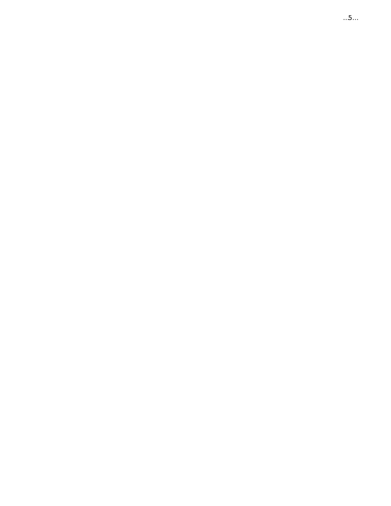$\dots$  5  $\dots$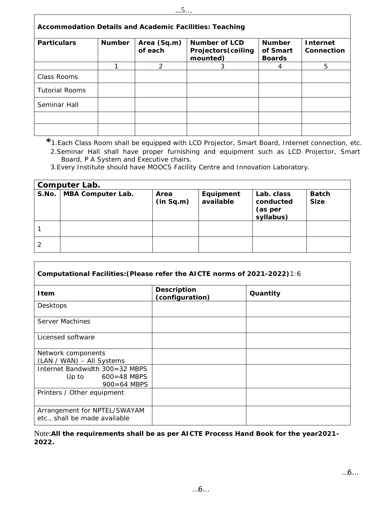| Accommodation Details and Academic Facilities: Teaching |               |                        |                                                  |                                     |                        |
|---------------------------------------------------------|---------------|------------------------|--------------------------------------------------|-------------------------------------|------------------------|
| Particulars                                             | <b>Number</b> | Area (Sq.m)<br>of each | Number of LCD<br>Projectors (ceiling<br>mounted) | Number<br>of Smart<br><b>Boards</b> | Internet<br>Connection |
|                                                         |               | $\mathcal{P}$          | 3                                                |                                     | 5                      |
| Class Rooms                                             |               |                        |                                                  |                                     |                        |
| <b>Tutorial Rooms</b>                                   |               |                        |                                                  |                                     |                        |
| Seminar Hall                                            |               |                        |                                                  |                                     |                        |
|                                                         |               |                        |                                                  |                                     |                        |
|                                                         |               |                        |                                                  |                                     |                        |

**\***1.Each Class Room shall be equipped with LCD Projector, Smart Board, Internet connection, etc.

 2.Seminar Hall shall have proper furnishing and equipment such as LCD Projector, Smart Board, P A System and Executive chairs.

3.Every Institute should have MOOCS Facility Centre and Innovation Laboratory.

| Computer Lab. |                   |                   |                        |                                                 |               |
|---------------|-------------------|-------------------|------------------------|-------------------------------------------------|---------------|
| S.No.         | MBA Computer Lab. | Area<br>(in Sq.m) | Equipment<br>available | Lab. class<br>conducted<br>(as per<br>syllabus) | Batch<br>Size |
|               |                   |                   |                        |                                                 |               |
|               |                   |                   |                        |                                                 |               |

| Computational Facilities: (Please refer the AICTE norms of 2021-2022)1:6      |                                |          |  |  |
|-------------------------------------------------------------------------------|--------------------------------|----------|--|--|
| I tem                                                                         | Description<br>(configuration) | Quantity |  |  |
| Desktops                                                                      |                                |          |  |  |
| Server Machines                                                               |                                |          |  |  |
| Licensed software                                                             |                                |          |  |  |
| Network components<br>(LAN / WAN) - All Systems                               |                                |          |  |  |
| Internet Bandwidth 300=32 MBPS<br>$600 = 48$ MBPS<br>Up to<br>$900 = 64$ MBPS |                                |          |  |  |
| Printers / Other equipment                                                    |                                |          |  |  |
| Arrangement for NPTEL/SWAYAM<br>etc., shall be made available                 |                                |          |  |  |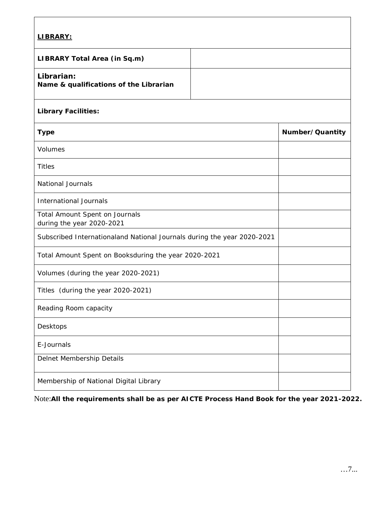| LIBRARY:                                                                |  |                 |  |  |  |
|-------------------------------------------------------------------------|--|-----------------|--|--|--|
| LIBRARY Total Area (in Sq.m)                                            |  |                 |  |  |  |
| Librarian:<br>Name & qualifications of the Librarian                    |  |                 |  |  |  |
| Library Facilities:                                                     |  |                 |  |  |  |
| <b>Type</b>                                                             |  | Number/Quantity |  |  |  |
| Volumes                                                                 |  |                 |  |  |  |
| <b>Titles</b>                                                           |  |                 |  |  |  |
| <b>National Journals</b>                                                |  |                 |  |  |  |
| <b>International Journals</b>                                           |  |                 |  |  |  |
| Total Amount Spent on Journals<br>during the year 2020-2021             |  |                 |  |  |  |
| Subscribed Internationaland National Journals during the year 2020-2021 |  |                 |  |  |  |
| Total Amount Spent on Booksduring the year 2020-2021                    |  |                 |  |  |  |
| Volumes (during the year 2020-2021)                                     |  |                 |  |  |  |
| Titles (during the year 2020-2021)                                      |  |                 |  |  |  |
| Reading Room capacity                                                   |  |                 |  |  |  |
| Desktops                                                                |  |                 |  |  |  |
| E-Journals                                                              |  |                 |  |  |  |
| Delnet Membership Details                                               |  |                 |  |  |  |
| Membership of National Digital Library                                  |  |                 |  |  |  |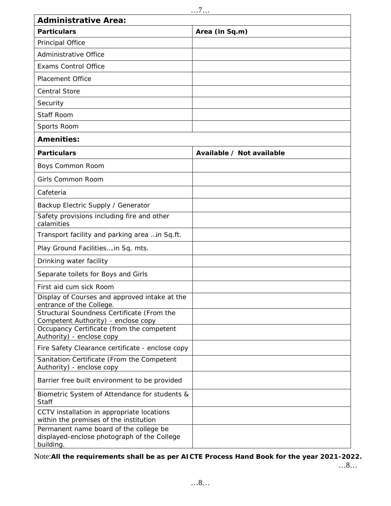|                                                                                                    | $\dots 7\dots$            |
|----------------------------------------------------------------------------------------------------|---------------------------|
| Administrative Area:                                                                               |                           |
| Particulars                                                                                        | Area (in Sq.m)            |
| Principal Office                                                                                   |                           |
| Administrative Office                                                                              |                           |
| <b>Exams Control Office</b>                                                                        |                           |
| Placement Office                                                                                   |                           |
| <b>Central Store</b>                                                                               |                           |
| Security                                                                                           |                           |
| <b>Staff Room</b>                                                                                  |                           |
| Sports Room                                                                                        |                           |
| Amenities:                                                                                         |                           |
| Particulars                                                                                        | Available / Not available |
| Boys Common Room                                                                                   |                           |
| <b>Girls Common Room</b>                                                                           |                           |
| Cafeteria                                                                                          |                           |
| Backup Electric Supply / Generator                                                                 |                           |
| Safety provisions including fire and other<br>calamities                                           |                           |
| Transport facility and parking area  in Sq.ft.                                                     |                           |
| Play Ground Facilities in Sq. mts.                                                                 |                           |
| Drinking water facility                                                                            |                           |
| Separate toilets for Boys and Girls                                                                |                           |
| First aid cum sick Room                                                                            |                           |
| Display of Courses and approved intake at the<br>entrance of the College.                          |                           |
| Structural Soundness Certificate (From the                                                         |                           |
| Competent Authority) - enclose copy<br>Occupancy Certificate (from the competent                   |                           |
| Authority) - enclose copy                                                                          |                           |
| Fire Safety Clearance certificate - enclose copy                                                   |                           |
| Sanitation Certificate (From the Competent<br>Authority) - enclose copy                            |                           |
| Barrier free built environment to be provided                                                      |                           |
| Biometric System of Attendance for students &<br><b>Staff</b>                                      |                           |
| CCTV installation in appropriate locations<br>within the premises of the institution               |                           |
| Permanent name board of the college be<br>displayed-enclose photograph of the College<br>building. |                           |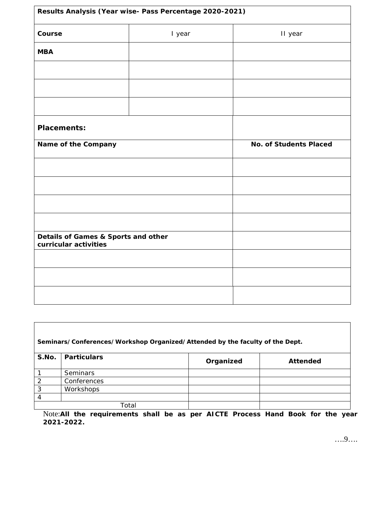| Results Analysis (Year wise- Pass Percentage 2020-2021)      |                        |         |  |  |  |
|--------------------------------------------------------------|------------------------|---------|--|--|--|
| Course                                                       | I year                 | II year |  |  |  |
| <b>MBA</b>                                                   |                        |         |  |  |  |
|                                                              |                        |         |  |  |  |
|                                                              |                        |         |  |  |  |
|                                                              |                        |         |  |  |  |
| Placements:                                                  |                        |         |  |  |  |
| Name of the Company                                          | No. of Students Placed |         |  |  |  |
|                                                              |                        |         |  |  |  |
|                                                              |                        |         |  |  |  |
|                                                              |                        |         |  |  |  |
|                                                              |                        |         |  |  |  |
| Details of Games & Sports and other<br>curricular activities |                        |         |  |  |  |
|                                                              |                        |         |  |  |  |
|                                                              |                        |         |  |  |  |
|                                                              |                        |         |  |  |  |

| Seminars/Conferences/Workshop Organized/Attended by the faculty of the Dept. |             |           |          |  |  |  |  |
|------------------------------------------------------------------------------|-------------|-----------|----------|--|--|--|--|
| S.No.                                                                        | Particulars | Organized | Attended |  |  |  |  |
|                                                                              | Seminars    |           |          |  |  |  |  |
| 2                                                                            | Conferences |           |          |  |  |  |  |
| 3                                                                            | Workshops   |           |          |  |  |  |  |
| 4                                                                            |             |           |          |  |  |  |  |
|                                                                              | Total       |           |          |  |  |  |  |

….9….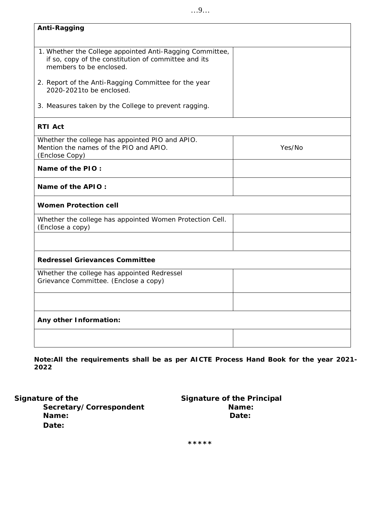| Anti-Ragging                                                                                                                                |        |
|---------------------------------------------------------------------------------------------------------------------------------------------|--------|
| 1. Whether the College appointed Anti-Ragging Committee,<br>if so, copy of the constitution of committee and its<br>members to be enclosed. |        |
| 2. Report of the Anti-Ragging Committee for the year<br>2020-2021to be enclosed.                                                            |        |
| 3. Measures taken by the College to prevent ragging.                                                                                        |        |
| RTI Act                                                                                                                                     |        |
| Whether the college has appointed PIO and APIO.<br>Mention the names of the PIO and APIO.<br>(Enclose Copy)                                 | Yes/No |
| Name of the PIO:                                                                                                                            |        |
| Name of the APIO:                                                                                                                           |        |
| Women Protection cell                                                                                                                       |        |
| Whether the college has appointed Women Protection Cell.<br>(Enclose a copy)                                                                |        |
|                                                                                                                                             |        |
| Redressel Grievances Committee                                                                                                              |        |
| Whether the college has appointed Redressel<br>Grievance Committee. (Enclose a copy)                                                        |        |
|                                                                                                                                             |        |
| Any other Information:                                                                                                                      |        |
|                                                                                                                                             |        |

Secretary/Correspondent **Name:** Name: **Name:** Date: **Date: Date:**

**Signature of the Signature of the Principal** 

**\*\*\*\*\***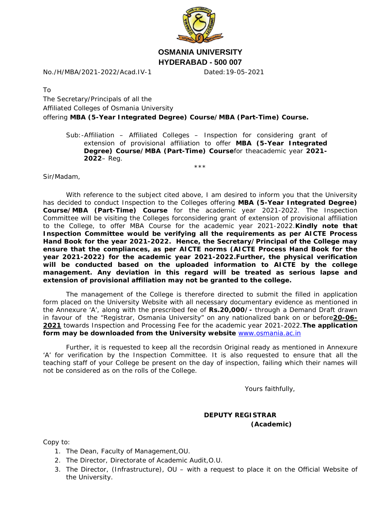

## **OSMANIA UNIVERSITY HYDERABAD - 500 007**

No./H/MBA/2021-2022/Acad.IV-1 Dated:19-05-2021

To

The Secretary/Principals of all the

Affiliated Colleges of Osmania University

offering **MBA (5-Year Integrated Degree) Course/MBA (Part-Time) Course.**

Sub:-Affiliation – Affiliated Colleges – Inspection for considering grant of extension of provisional affiliation to offer **MBA (5-Year Integrated Degree) Course/MBA (Part-Time) Course**for theacademic year **2021- 2022**– Reg.

\*\*\*

Sir/Madam,

With reference to the subject cited above, I am desired to inform you that the University has decided to conduct Inspection to the Colleges offering **MBA (5-Year Integrated Degree) Course/MBA (Part-Time) Course** for the academic year 2021-2022. The Inspection Committee will be visiting the Colleges forconsidering grant of extension of provisional affiliation to the College, to offer MBA Course for the academic year 2021-2022.**Kindly note that Inspection Committee would be verifying all the requirements as per AICTE Process Hand Book for the year 2021-2022. Hence, the Secretary/Principal of the College may ensure that the compliances, as per AICTE norms (AICTE Process Hand Book for the year 2021-2022) for the academic year 2021-2022.Further, the physical verification will be conducted based on the uploaded information to AICTE by the college management. Any deviation in this regard will be treated as serious lapse and extension of provisional affiliation may not be granted to the college.**

The management of the College is therefore directed to submit the filled in application form placed on the University Website with all necessary documentary evidence as mentioned in the Annexure 'A', along with the prescribed fee of **Rs.20,000/-** through a Demand Draft drawn in favour of the "Registrar, Osmania University" on any nationalized bank on or before**20-06- 2021** towards Inspection and Processing Fee for the academic year 2021-2022.**The application**  form may be downloaded from the University website **www.osmania.ac.in** 

Further, it is requested to keep all the recordsin Original ready as mentioned in Annexure 'A' for verification by the Inspection Committee. It is also requested to ensure that all the teaching staff of your College be present on the day of inspection, failing which their names will not be considered as on the rolls of the College.

Yours faithfully,

**DEPUTY REGISTRAR (Academic)**

Copy to:

- 1. The Dean, Faculty of Management,OU.
- 2. The Director, Directorate of Academic Audit,O.U.
- 3. The Director, (Infrastructure), OU with a request to place it on the Official Website of the University.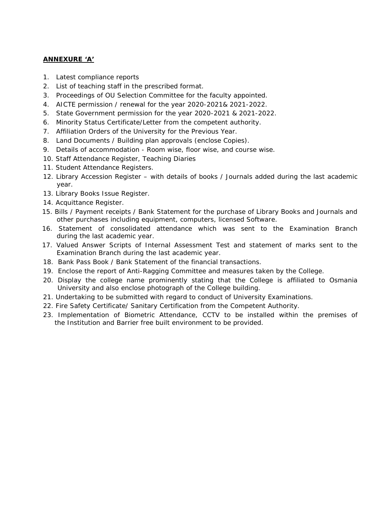### **ANNEXURE 'A'**

- 1. Latest compliance reports
- 2. List of teaching staff in the prescribed format.
- 3. Proceedings of OU Selection Committee for the faculty appointed.
- 4. AICTE permission / renewal for the year 2020-2021& 2021-2022.
- 5. State Government permission for the year 2020-2021 & 2021-2022.
- 6. Minority Status Certificate/Letter from the competent authority.
- 7. Affiliation Orders of the University for the Previous Year.
- 8. Land Documents / Building plan approvals (enclose Copies).
- 9. Details of accommodation Room wise, floor wise, and course wise.
- 10. Staff Attendance Register, Teaching Diaries
- 11. Student Attendance Registers.
- 12. Library Accession Register with details of books / Journals added during the last academic year.
- 13. Library Books Issue Register.
- 14. Acquittance Register.
- 15. Bills / Payment receipts / Bank Statement for the purchase of Library Books and Journals and other purchases including equipment, computers, licensed Software.
- 16. Statement of consolidated attendance which was sent to the Examination Branch during the last academic year.
- 17. Valued Answer Scripts of Internal Assessment Test and statement of marks sent to the Examination Branch during the last academic year.
- 18. Bank Pass Book / Bank Statement of the financial transactions.
- 19. Enclose the report of Anti-Ragging Committee and measures taken by the College.
- 20. Display the college name prominently stating that the College is affiliated to Osmania University and also enclose photograph of the College building.
- 21. Undertaking to be submitted with regard to conduct of University Examinations.
- 22. Fire Safety Certificate/ Sanitary Certification from the Competent Authority.
- 23. Implementation of Biometric Attendance, CCTV to be installed within the premises of the Institution and Barrier free built environment to be provided.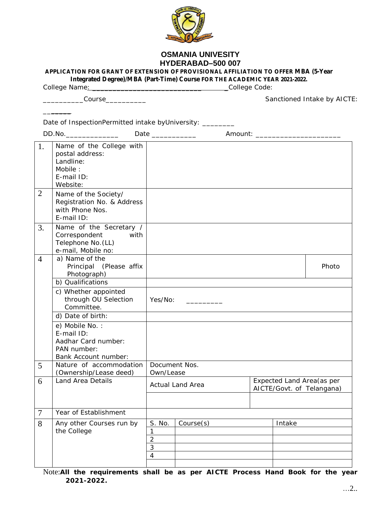

## **OSMANIA UNIVESITY HYDERABAD–500 007**

**APPLICATION FOR GRANT OF EXTENSION OF PROVISIONAL AFFILIATION TO OFFER MBA (5-Year** 

**Integrated Degree)/MBA (Part-Time) Course FOR THE ACADEMIC YEAR 2021-2022.**

College Name: \_\_\_\_\_\_\_\_\_\_\_\_\_\_\_\_\_\_\_\_\_\_\_\_\_\_\_ \_College Code:

 $\overline{\phantom{a}}$  . The set of  $\overline{\phantom{a}}$ 

\_\_\_\_\_\_\_\_\_\_Course\_\_\_\_\_\_\_\_\_\_ Sanctioned Intake by AICTE:

|                | Date of InspectionPermitted intake byUniversity: ______                                                         |                                                      |                         |  |                                                         |       |  |  |
|----------------|-----------------------------------------------------------------------------------------------------------------|------------------------------------------------------|-------------------------|--|---------------------------------------------------------|-------|--|--|
|                | DD.No.__________________                                                                                        |                                                      | Date _____________      |  | Amount: ___________________________                     |       |  |  |
| 1.             | Name of the College with<br>postal address:<br>Landline:<br>Mobile:<br>E-mail ID:<br>Website:                   |                                                      |                         |  |                                                         |       |  |  |
| $\overline{2}$ | Name of the Society/<br>Registration No. & Address<br>with Phone Nos.<br>E-mail ID:                             |                                                      |                         |  |                                                         |       |  |  |
| 3.             | Name of the Secretary /<br>Correspondent<br>with<br>Telephone No. (LL)<br>e-mail, Mobile no:                    |                                                      |                         |  |                                                         |       |  |  |
| $\overline{4}$ | a) Name of the<br>Principal (Please affix<br>Photograph)<br>b) Qualifications                                   |                                                      |                         |  |                                                         | Photo |  |  |
|                | c) Whether appointed<br>through OU Selection<br>Committee.                                                      | Yes/No:                                              |                         |  |                                                         |       |  |  |
|                | d) Date of birth:<br>e) Mobile No.:<br>E-mail ID:<br>Aadhar Card number:<br>PAN number:<br>Bank Account number: |                                                      |                         |  |                                                         |       |  |  |
| 5              | Nature of accommodation<br>(Ownership/Lease deed)                                                               | Own/Lease                                            | Document Nos.           |  |                                                         |       |  |  |
| 6              | <b>Land Area Details</b>                                                                                        |                                                      | <b>Actual Land Area</b> |  | Expected Land Area (as per<br>AICTE/Govt. of Telangana) |       |  |  |
| $\overline{7}$ | Year of Establishment                                                                                           |                                                      |                         |  |                                                         |       |  |  |
| 8              | Any other Courses run by<br>the College                                                                         | S. No.<br>1<br>$\overline{2}$<br>3<br>$\overline{4}$ | Course(s)               |  | Intake                                                  |       |  |  |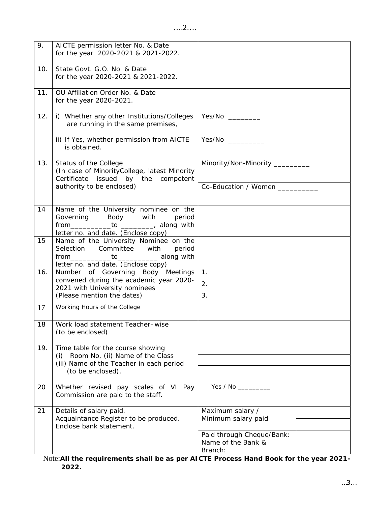| 9.  | AICTE permission letter No. & Date<br>for the year 2020-2021 & 2021-2022.                                                                                          |                                                            |
|-----|--------------------------------------------------------------------------------------------------------------------------------------------------------------------|------------------------------------------------------------|
| 10. | State Govt. G.O. No. & Date<br>for the year 2020-2021 & 2021-2022.                                                                                                 |                                                            |
| 11. | OU Affiliation Order No. & Date<br>for the year 2020-2021.                                                                                                         |                                                            |
| 12. | i) Whether any other Institutions/Colleges<br>are running in the same premises,                                                                                    |                                                            |
|     | ii) If Yes, whether permission from AICTE<br>is obtained.                                                                                                          | Yes/No                                                     |
| 13. | Status of the College<br>(In case of MinorityCollege, latest Minority<br>Certificate issued by the competent                                                       | Minority/Non-Minority _________                            |
|     | authority to be enclosed)                                                                                                                                          | Co-Education / Women __________                            |
| 14  | Name of the University nominee on the<br>Governing<br>Body with<br>period<br>from_____________to __________, along with<br>letter no. and date. (Enclose copy)     |                                                            |
| 15  | Name of the University Nominee on the<br>Selection Committee with<br>period<br>from_____________to______________ along with<br>letter no. and date. (Enclose copy) |                                                            |
| 16. | Number of Governing Body Meetings<br>convened during the academic year 2020-<br>2021 with University nominees<br>(Please mention the dates)                        | 1.<br>2.<br>3.                                             |
| 17  | Working Hours of the College                                                                                                                                       |                                                            |
| 18  | Work load statement Teacher-wise<br>(to be enclosed)                                                                                                               |                                                            |
| 19. | Time table for the course showing<br>Room No, (ii) Name of the Class<br>(i)                                                                                        |                                                            |
|     | (iii) Name of the Teacher in each period<br>(to be enclosed),                                                                                                      |                                                            |
| 20  | Whether revised pay scales of VI Pay<br>Commission are paid to the staff.                                                                                          |                                                            |
| 21  | Details of salary paid.<br>Acquaintance Register to be produced.<br>Enclose bank statement.                                                                        | Maximum salary /<br>Minimum salary paid                    |
|     |                                                                                                                                                                    | Paid through Cheque/Bank:<br>Name of the Bank &<br>Branch: |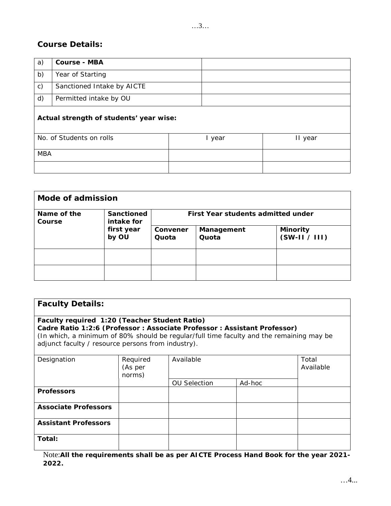# **Course Details:**

| a)                               | Course - MBA                            |  |         |  |  |  |
|----------------------------------|-----------------------------------------|--|---------|--|--|--|
| b)                               | Year of Starting                        |  |         |  |  |  |
| $\mathsf{c})$                    | Sanctioned Intake by AICTE              |  |         |  |  |  |
| d)                               | Permitted intake by OU                  |  |         |  |  |  |
|                                  | Actual strength of students' year wise: |  |         |  |  |  |
| No. of Students on rolls<br>year |                                         |  | II year |  |  |  |
| <b>MBA</b>                       |                                         |  |         |  |  |  |
|                                  |                                         |  |         |  |  |  |

| Mode of admission     |                                                 |                                    |                     |                                |  |  |
|-----------------------|-------------------------------------------------|------------------------------------|---------------------|--------------------------------|--|--|
| Name of the<br>Course | Sanctioned<br>intake for<br>first year<br>by OU | First Year students admitted under |                     |                                |  |  |
|                       |                                                 | Convener<br>Quota                  | Management<br>Quota | Minority<br>$(SW-II \mid III)$ |  |  |
|                       |                                                 |                                    |                     |                                |  |  |
|                       |                                                 |                                    |                     |                                |  |  |

| <b>Faculty Details:</b>                                                                                                                                                                                                                                                    |                               |                     |        |                    |  |  |
|----------------------------------------------------------------------------------------------------------------------------------------------------------------------------------------------------------------------------------------------------------------------------|-------------------------------|---------------------|--------|--------------------|--|--|
| Faculty required 1:20 (Teacher Student Ratio)<br>Cadre Ratio 1:2:6 (Professor: Associate Professor: Assistant Professor)<br>(In which, a minimum of 80% should be regular/full time faculty and the remaining may be<br>adjunct faculty / resource persons from industry). |                               |                     |        |                    |  |  |
| Designation                                                                                                                                                                                                                                                                | Required<br>(As per<br>norms) | Available           |        | Total<br>Available |  |  |
|                                                                                                                                                                                                                                                                            |                               | <b>OU Selection</b> | Ad-hoc |                    |  |  |
| Professors                                                                                                                                                                                                                                                                 |                               |                     |        |                    |  |  |
| Associate Professors                                                                                                                                                                                                                                                       |                               |                     |        |                    |  |  |
| Assistant Professors                                                                                                                                                                                                                                                       |                               |                     |        |                    |  |  |
| Total:                                                                                                                                                                                                                                                                     |                               |                     |        |                    |  |  |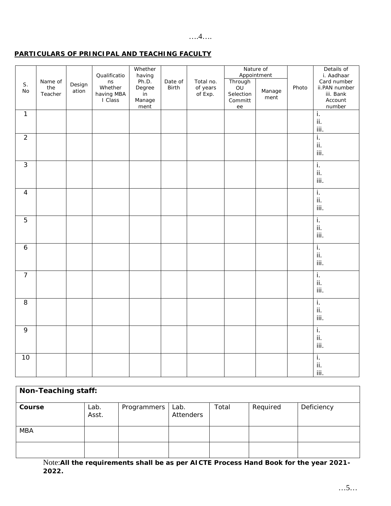### $\dots$ 4....

## PARTICULARS OF PRINCIPAL AND TEACHING FACULTY

| S.<br>No            | Name of<br>the<br>Teacher | Design<br>ation | Qualificatio<br>ns<br>Whether<br>having MBA<br>I Class | Whether<br>having<br>Ph.D.<br>Degree<br>in<br>Manage<br>ment | Date of<br>Birth | Total no.<br>of years<br>of Exp. | Through<br>OU<br>Selection<br>Committ<br>ee | Nature of<br>Appointment<br>Manage<br>ment | Photo | Details of<br>i. Aadhaar<br>Card number<br>ii.PAN number<br>iii. Bank<br>Account<br>number |
|---------------------|---------------------------|-----------------|--------------------------------------------------------|--------------------------------------------------------------|------------------|----------------------------------|---------------------------------------------|--------------------------------------------|-------|--------------------------------------------------------------------------------------------|
| $\mathbf{1}$        |                           |                 |                                                        |                                                              |                  |                                  |                                             |                                            |       | i.<br>ii.<br>iii.                                                                          |
| $\overline{2}$      |                           |                 |                                                        |                                                              |                  |                                  |                                             |                                            |       | $\overline{L}$<br>ii.<br>iii.                                                              |
| $\mathfrak{Z}$      |                           |                 |                                                        |                                                              |                  |                                  |                                             |                                            |       | $\overline{1}$ .<br>ii.<br>iii.                                                            |
| $\overline{4}$      |                           |                 |                                                        |                                                              |                  |                                  |                                             |                                            |       | $\overline{L}$<br>$\mathsf{ii}.$<br>iii.                                                   |
| 5                   |                           |                 |                                                        |                                                              |                  |                                  |                                             |                                            |       | i.<br>ii.<br>iii.                                                                          |
| $\ddot{\mathbf{6}}$ |                           |                 |                                                        |                                                              |                  |                                  |                                             |                                            |       | i.<br>$\mathbf{ii}$ .<br>iii.                                                              |
| $\overline{7}$      |                           |                 |                                                        |                                                              |                  |                                  |                                             |                                            |       | i.<br>ii.<br>iii.                                                                          |
| 8                   |                           |                 |                                                        |                                                              |                  |                                  |                                             |                                            |       | ī.<br>ii.<br>iii.                                                                          |
| $\mathsf{q}$        |                           |                 |                                                        |                                                              |                  |                                  |                                             |                                            |       | $\overline{L}$<br>ii.<br>iii.                                                              |
| 10                  |                           |                 |                                                        |                                                              |                  |                                  |                                             |                                            |       | i.<br>ii.<br>iii.                                                                          |

| Non-Teaching staff: |               |             |                   |       |          |            |  |
|---------------------|---------------|-------------|-------------------|-------|----------|------------|--|
| Course              | Lab.<br>Asst. | Programmers | Lab.<br>Attenders | Total | Required | Deficiency |  |
| <b>MBA</b>          |               |             |                   |       |          |            |  |
|                     |               |             |                   |       |          |            |  |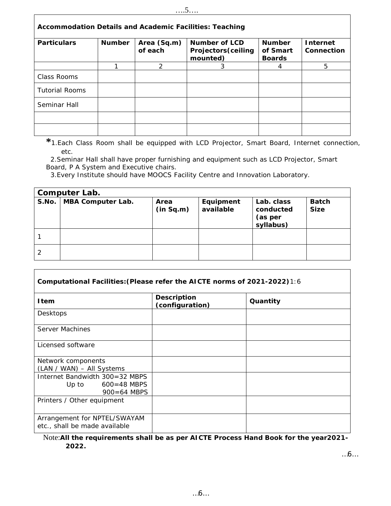| Accommodation Details and Academic Facilities: Teaching |               |                        |                                                  |                                            |                               |  |  |
|---------------------------------------------------------|---------------|------------------------|--------------------------------------------------|--------------------------------------------|-------------------------------|--|--|
| Particulars                                             | <b>Number</b> | Area (Sq.m)<br>of each | Number of LCD<br>Projectors (ceiling<br>mounted) | <b>Number</b><br>of Smart<br><b>Boards</b> | <b>Internet</b><br>Connection |  |  |
|                                                         |               | 2                      | 3                                                |                                            | 5                             |  |  |
| Class Rooms                                             |               |                        |                                                  |                                            |                               |  |  |
| <b>Tutorial Rooms</b>                                   |               |                        |                                                  |                                            |                               |  |  |
| Seminar Hall                                            |               |                        |                                                  |                                            |                               |  |  |
|                                                         |               |                        |                                                  |                                            |                               |  |  |
|                                                         |               |                        |                                                  |                                            |                               |  |  |

**\***1.Each Class Room shall be equipped with LCD Projector, Smart Board, Internet connection, etc.

 2.Seminar Hall shall have proper furnishing and equipment such as LCD Projector, Smart Board, P A System and Executive chairs.

3.Every Institute should have MOOCS Facility Centre and Innovation Laboratory.

Г

|       | Computer Lab.     |                   |                        |                                                 |               |  |  |  |  |
|-------|-------------------|-------------------|------------------------|-------------------------------------------------|---------------|--|--|--|--|
| S.No. | MBA Computer Lab. | Area<br>(in Sq.m) | Equipment<br>available | Lab. class<br>conducted<br>(as per<br>syllabus) | Batch<br>Size |  |  |  |  |
|       |                   |                   |                        |                                                 |               |  |  |  |  |
|       |                   |                   |                        |                                                 |               |  |  |  |  |

| Computational Facilities: (Please refer the AICTE norms of 2021-2022)1:6 |                                |          |  |  |
|--------------------------------------------------------------------------|--------------------------------|----------|--|--|
| I tem                                                                    | Description<br>(configuration) | Quantity |  |  |
| Desktops                                                                 |                                |          |  |  |
| Server Machines                                                          |                                |          |  |  |
| Licensed software                                                        |                                |          |  |  |
| Network components<br>(LAN / WAN) - All Systems                          |                                |          |  |  |
| Internet Bandwidth 300=32 MBPS<br>Up to $600=48$ MBPS<br>$900 = 64$ MBPS |                                |          |  |  |
| Printers / Other equipment                                               |                                |          |  |  |
| Arrangement for NPTEL/SWAYAM<br>etc., shall be made available            |                                |          |  |  |

Note:**All the requirements shall be as per AICTE Process Hand Book for the year2021- 2022.** 

…6…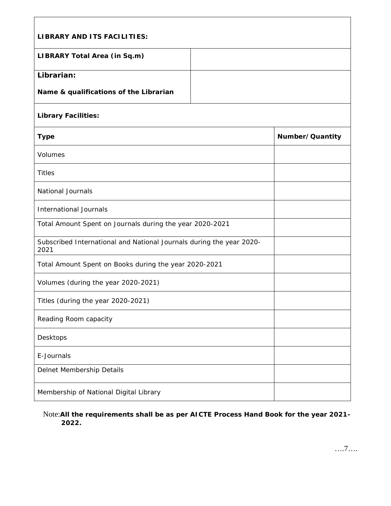| LIBRARY AND ITS FACILITIES:                                                  |                 |  |
|------------------------------------------------------------------------------|-----------------|--|
| LIBRARY Total Area (in Sq.m)                                                 |                 |  |
| Librarian:                                                                   |                 |  |
| Name & qualifications of the Librarian                                       |                 |  |
| Library Facilities:                                                          |                 |  |
| Type                                                                         | Number/Quantity |  |
| Volumes                                                                      |                 |  |
| <b>Titles</b>                                                                |                 |  |
| <b>National Journals</b>                                                     |                 |  |
| International Journals                                                       |                 |  |
| Total Amount Spent on Journals during the year 2020-2021                     |                 |  |
| Subscribed International and National Journals during the year 2020-<br>2021 |                 |  |
| Total Amount Spent on Books during the year 2020-2021                        |                 |  |
| Volumes (during the year 2020-2021)                                          |                 |  |
| Titles (during the year 2020-2021)                                           |                 |  |
| Reading Room capacity                                                        |                 |  |
| Desktops                                                                     |                 |  |
| E-Journals                                                                   |                 |  |
| Delnet Membership Details                                                    |                 |  |
| Membership of National Digital Library                                       |                 |  |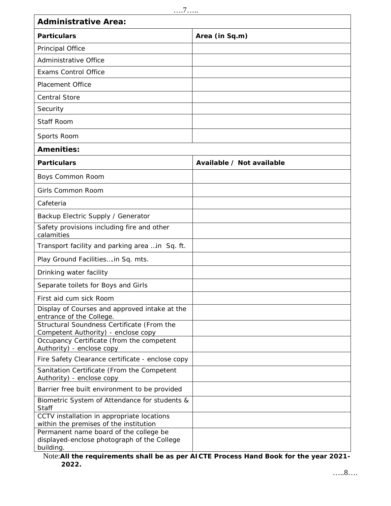| . 7                                                                                                                     |                           |  |
|-------------------------------------------------------------------------------------------------------------------------|---------------------------|--|
| Administrative Area:                                                                                                    |                           |  |
| Particulars                                                                                                             | Area (in Sq.m)            |  |
| Principal Office                                                                                                        |                           |  |
| Administrative Office                                                                                                   |                           |  |
| <b>Exams Control Office</b>                                                                                             |                           |  |
| Placement Office                                                                                                        |                           |  |
| <b>Central Store</b>                                                                                                    |                           |  |
| Security                                                                                                                |                           |  |
| Staff Room                                                                                                              |                           |  |
| Sports Room                                                                                                             |                           |  |
| Amenities:                                                                                                              |                           |  |
| Particulars                                                                                                             | Available / Not available |  |
| Boys Common Room                                                                                                        |                           |  |
| Girls Common Room                                                                                                       |                           |  |
| Cafeteria                                                                                                               |                           |  |
| Backup Electric Supply / Generator                                                                                      |                           |  |
| Safety provisions including fire and other<br>calamities                                                                |                           |  |
| Transport facility and parking area  in Sq. ft.                                                                         |                           |  |
| Play Ground Facilities in Sq. mts.                                                                                      |                           |  |
| Drinking water facility                                                                                                 |                           |  |
| Separate toilets for Boys and Girls                                                                                     |                           |  |
| First aid cum sick Room                                                                                                 |                           |  |
| Display of Courses and approved intake at the<br>entrance of the College.<br>Structural Soundness Certificate (From the |                           |  |
| Competent Authority) - enclose copy<br>Occupancy Certificate (from the competent<br>Authority) - enclose copy           |                           |  |
| Fire Safety Clearance certificate - enclose copy                                                                        |                           |  |
| Sanitation Certificate (From the Competent<br>Authority) - enclose copy                                                 |                           |  |
| Barrier free built environment to be provided                                                                           |                           |  |
| Biometric System of Attendance for students &<br><b>Staff</b>                                                           |                           |  |
| CCTV installation in appropriate locations<br>within the premises of the institution                                    |                           |  |
| Permanent name board of the college be<br>displayed-enclose photograph of the College<br>building.                      |                           |  |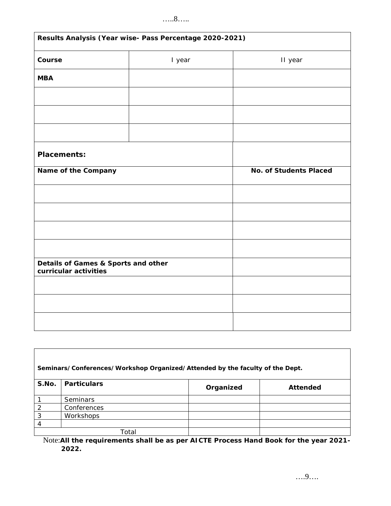# …..8…..

| Results Analysis (Year wise- Pass Percentage 2020-2021)      |        |                        |  |
|--------------------------------------------------------------|--------|------------------------|--|
| Course                                                       | I year | II year                |  |
| <b>MBA</b>                                                   |        |                        |  |
|                                                              |        |                        |  |
|                                                              |        |                        |  |
|                                                              |        |                        |  |
| Placements:                                                  |        |                        |  |
| Name of the Company                                          |        | No. of Students Placed |  |
|                                                              |        |                        |  |
|                                                              |        |                        |  |
|                                                              |        |                        |  |
|                                                              |        |                        |  |
| Details of Games & Sports and other<br>curricular activities |        |                        |  |
|                                                              |        |                        |  |
|                                                              |        |                        |  |
|                                                              |        |                        |  |

| Seminars/Conferences/Workshop Organized/Attended by the faculty of the Dept. |                 |           |          |  |
|------------------------------------------------------------------------------|-----------------|-----------|----------|--|
| S.No.                                                                        | Particulars     | Organized | Attended |  |
|                                                                              | <b>Seminars</b> |           |          |  |
| $\mathcal{P}$                                                                | Conferences     |           |          |  |
| 3                                                                            | Workshops       |           |          |  |
|                                                                              |                 |           |          |  |
|                                                                              | Total           |           |          |  |